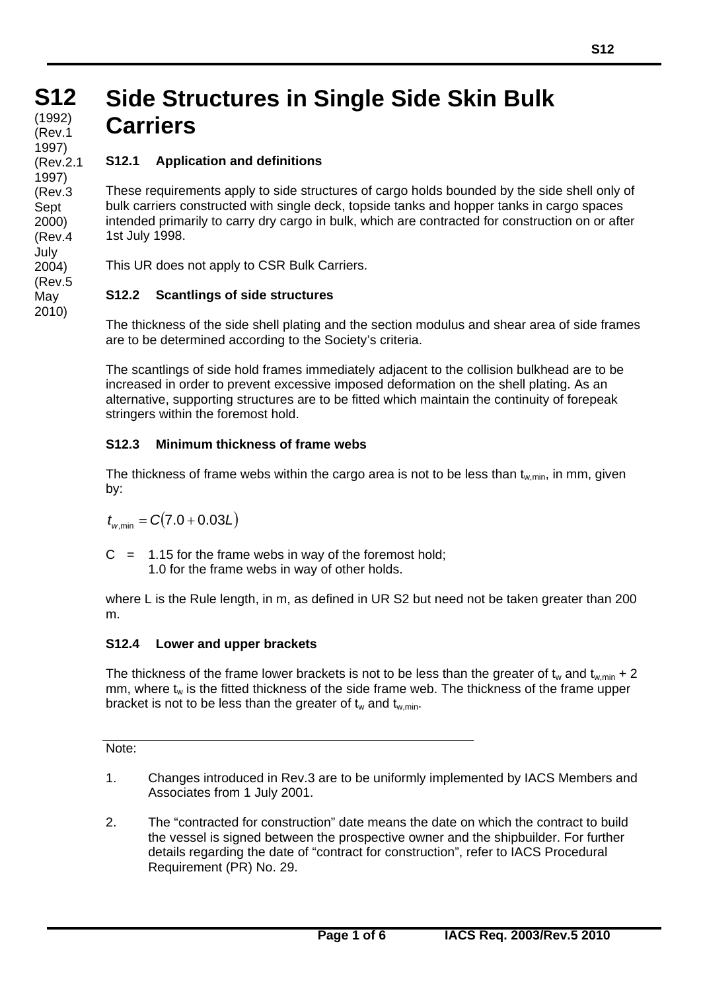# **Side Structures in Single Side Skin Bulk Carriers**

# **S12.1 Application and definitions**

These requirements apply to side structures of cargo holds bounded by the side shell only of bulk carriers constructed with single deck, topside tanks and hopper tanks in cargo spaces intended primarily to carry dry cargo in bulk, which are contracted for construction on or after 1st July 1998.

This UR does not apply to CSR Bulk Carriers.

# **S12.2 Scantlings of side structures**

The thickness of the side shell plating and the section modulus and shear area of side frames are to be determined according to the Society's criteria.

The scantlings of side hold frames immediately adjacent to the collision bulkhead are to be increased in order to prevent excessive imposed deformation on the shell plating. As an alternative, supporting structures are to be fitted which maintain the continuity of forepeak stringers within the foremost hold.

## **S12.3 Minimum thickness of frame webs**

The thickness of frame webs within the cargo area is not to be less than  $t_{w,min}$ , in mm, given by:

 $t_{w,min} = C(7.0 + 0.03L)$ 

 $C = 1.15$  for the frame webs in way of the foremost hold; 1.0 for the frame webs in way of other holds.

where L is the Rule length, in m, as defined in UR S2 but need not be taken greater than 200 m.

## **S12.4 Lower and upper brackets**

The thickness of the frame lower brackets is not to be less than the greater of t<sub>w</sub> and t<sub>w,min</sub> + 2  $mm$ , where  $t_w$  is the fitted thickness of the side frame web. The thickness of the frame upper bracket is not to be less than the greater of  $t_w$  and  $t_{w,min}$ .

Note:

 $\overline{a}$ 

- 1. Changes introduced in Rev.3 are to be uniformly implemented by IACS Members and Associates from 1 July 2001.
- 2. The "contracted for construction" date means the date on which the contract to build the vessel is signed between the prospective owner and the shipbuilder. For further details regarding the date of "contract for construction", refer to IACS Procedural Requirement (PR) No. 29.

**S12 S12 (cont)** (Rev.1 (1992) 1997) (Rev.2.1 1997) (Rev.3 Sept 2000) (Rev.4 July 2004) (Rev.5 May 2010)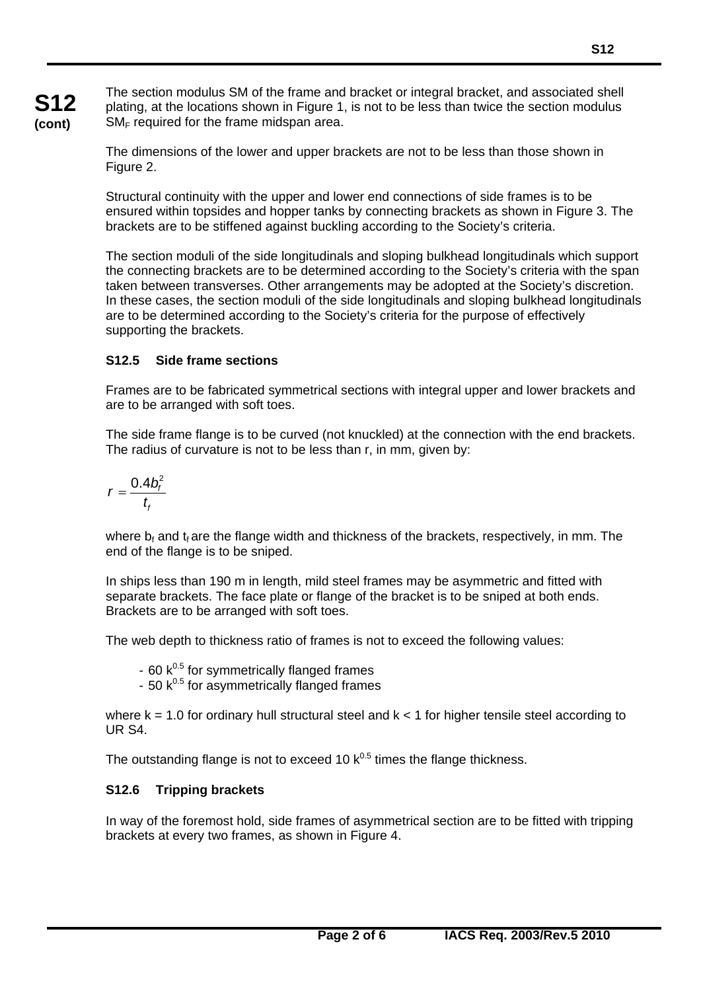The section modulus SM of the frame and bracket or integral bracket, and associated shell plating, at the locations shown in Figure 1, is not to be less than twice the section modulus  $SM_F$  required for the frame midspan area.

The dimensions of the lower and upper brackets are not to be less than those shown in Figure 2.

Structural continuity with the upper and lower end connections of side frames is to be ensured within topsides and hopper tanks by connecting brackets as shown in Figure 3. The brackets are to be stiffened against buckling according to the Society's criteria.

The section moduli of the side longitudinals and sloping bulkhead longitudinals which support the connecting brackets are to be determined according to the Society's criteria with the span taken between transverses. Other arrangements may be adopted at the Society's discretion. In these cases, the section moduli of the side longitudinals and sloping bulkhead longitudinals are to be determined according to the Society's criteria for the purpose of effectively supporting the brackets.

#### **S12.5 Side frame sections**

Frames are to be fabricated symmetrical sections with integral upper and lower brackets and are to be arranged with soft toes.

The side frame flange is to be curved (not knuckled) at the connection with the end brackets. The radius of curvature is not to be less than r, in mm, given by:

$$
r=\frac{0.4b_f^2}{t_f}
$$

**S12 (cont)**

> where  $b_f$  and  $t_f$  are the flange width and thickness of the brackets, respectively, in mm. The end of the flange is to be sniped.

In ships less than 190 m in length, mild steel frames may be asymmetric and fitted with separate brackets. The face plate or flange of the bracket is to be sniped at both ends. Brackets are to be arranged with soft toes.

The web depth to thickness ratio of frames is not to exceed the following values:

 $-60$  k<sup>0.5</sup> for symmetrically flanged frames

- 50  $k^{0.5}$  for asymmetrically flanged frames

where  $k = 1.0$  for ordinary hull structural steel and  $k < 1$  for higher tensile steel according to UR S4.

The outstanding flange is not to exceed 10  $k^{0.5}$  times the flange thickness.

#### **S12.6 Tripping brackets**

 $\overline{a}$ 

In way of the foremost hold, side frames of asymmetrical section are to be fitted with tripping brackets at every two frames, as shown in Figure 4.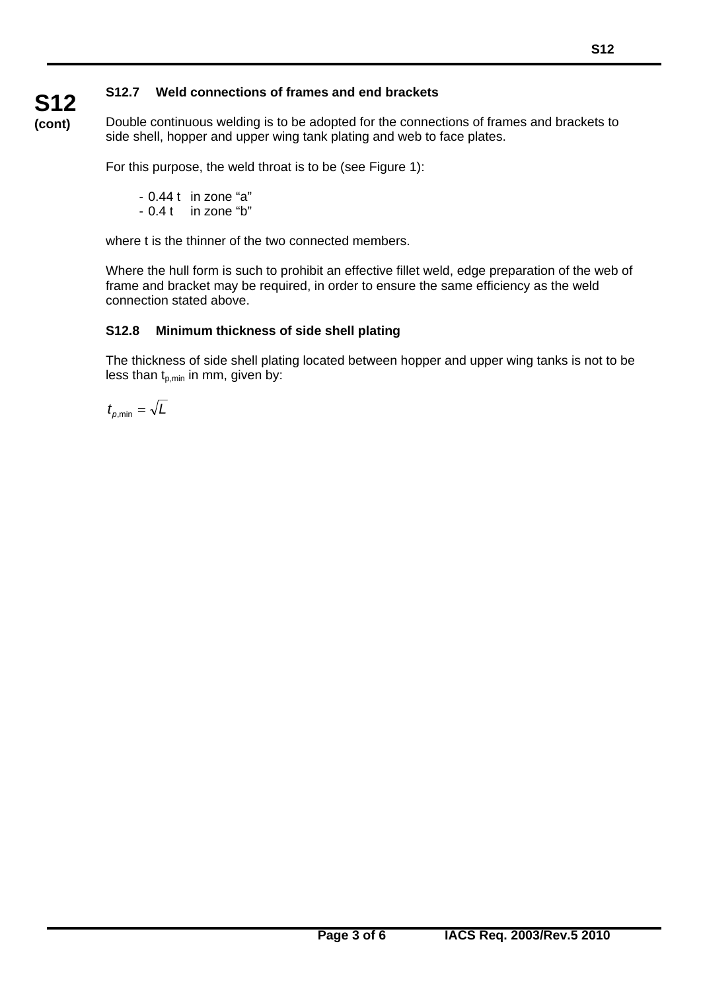# **S12.7 Weld connections of frames and end brackets**

**S12 (cont)**

Double continuous welding is to be adopted for the connections of frames and brackets to side shell, hopper and upper wing tank plating and web to face plates.

For this purpose, the weld throat is to be (see Figure 1):

- 0.44 t in zone "a" - 0.4 t in zone "b"

where t is the thinner of the two connected members.

Where the hull form is such to prohibit an effective fillet weld, edge preparation of the web of frame and bracket may be required, in order to ensure the same efficiency as the weld connection stated above.

#### **S12.8 Minimum thickness of side shell plating**

The thickness of side shell plating located between hopper and upper wing tanks is not to be less than  $t_{p,min}$  in mm, given by:

 $t_{p,\text{min}} = \sqrt{L}$ 

 $\overline{a}$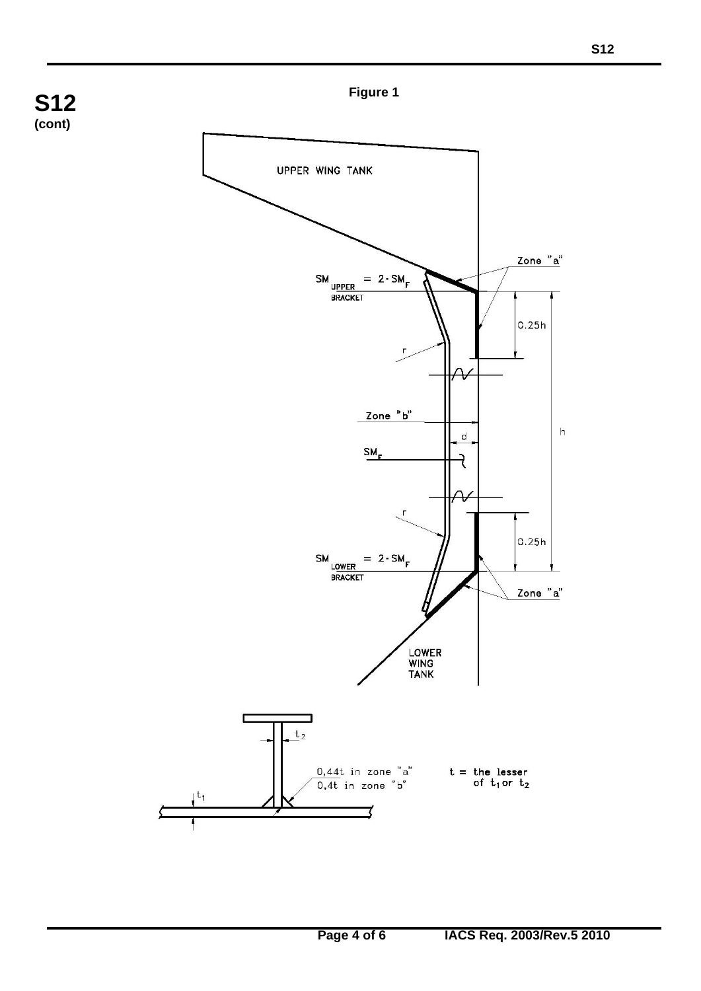

 $\overline{a}$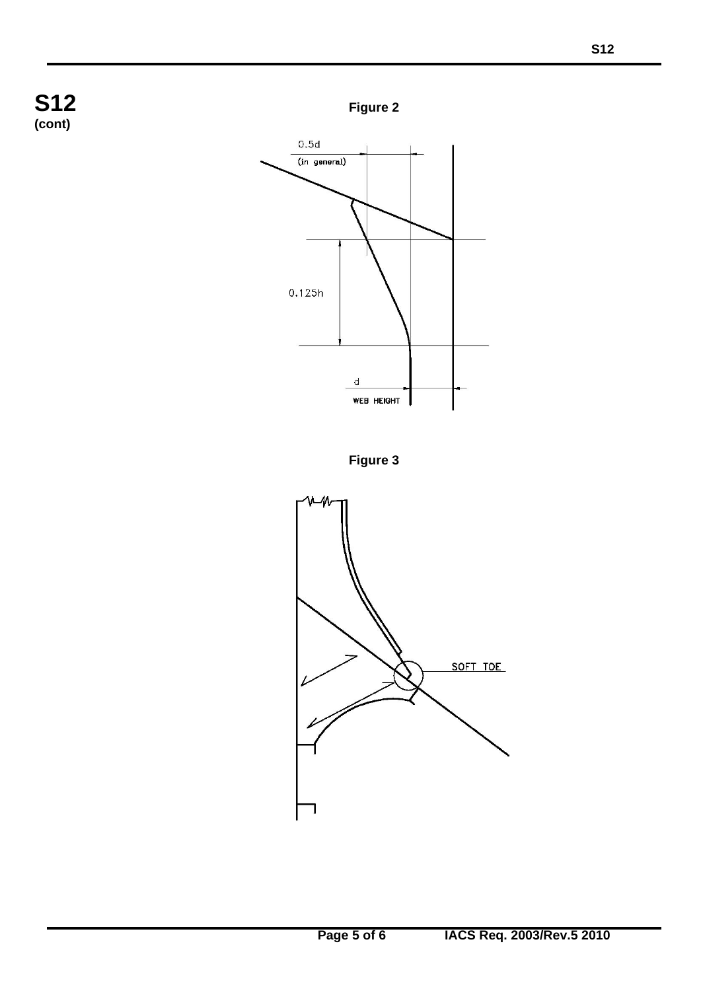

 $\overline{a}$ 

**Figure 2**